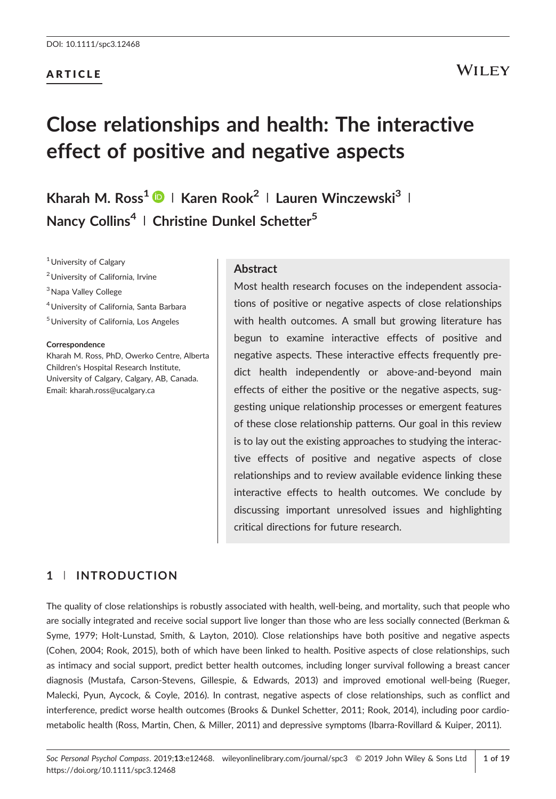#### ARTICLE

# WILEY

# **Close relationships and health: The interactive effect of positive and negative aspects**

**Kharah M. Ross1 <sup>|</sup> Karen Rook<sup>2</sup> <sup>|</sup> Lauren Winczewski3 <sup>|</sup> Nancy Collins4 <sup>|</sup> Christine Dunkel Schetter<sup>5</sup>**

<sup>1</sup> University of Calgary

2University of California, Irvine

<sup>3</sup> Napa Valley College

4University of California, Santa Barbara

5University of California, Los Angeles

#### **Correspondence**

Kharah M. Ross, PhD, Owerko Centre, Alberta Children's Hospital Research Institute, University of Calgary, Calgary, AB, Canada. Email: kharah.ross@ucalgary.ca

#### **Abstract**

Most health research focuses on the independent associations of positive or negative aspects of close relationships with health outcomes. A small but growing literature has begun to examine interactive effects of positive and negative aspects. These interactive effects frequently predict health independently or above-and-beyond main effects of either the positive or the negative aspects, suggesting unique relationship processes or emergent features of these close relationship patterns. Our goal in this review is to lay out the existing approaches to studying the interactive effects of positive and negative aspects of close relationships and to review available evidence linking these interactive effects to health outcomes. We conclude by discussing important unresolved issues and highlighting critical directions for future research.

### **1** | **INTRODUCTION**

The quality of close relationships is robustly associated with health, well‐being, and mortality, such that people who are socially integrated and receive social support live longer than those who are less socially connected (Berkman & Syme, 1979; Holt‐Lunstad, Smith, & Layton, 2010). Close relationships have both positive and negative aspects (Cohen, 2004; Rook, 2015), both of which have been linked to health. Positive aspects of close relationships, such as intimacy and social support, predict better health outcomes, including longer survival following a breast cancer diagnosis (Mustafa, Carson‐Stevens, Gillespie, & Edwards, 2013) and improved emotional well‐being (Rueger, Malecki, Pyun, Aycock, & Coyle, 2016). In contrast, negative aspects of close relationships, such as conflict and interference, predict worse health outcomes (Brooks & Dunkel Schetter, 2011; Rook, 2014), including poor cardio‐ metabolic health (Ross, Martin, Chen, & Miller, 2011) and depressive symptoms (Ibarra‐Rovillard & Kuiper, 2011).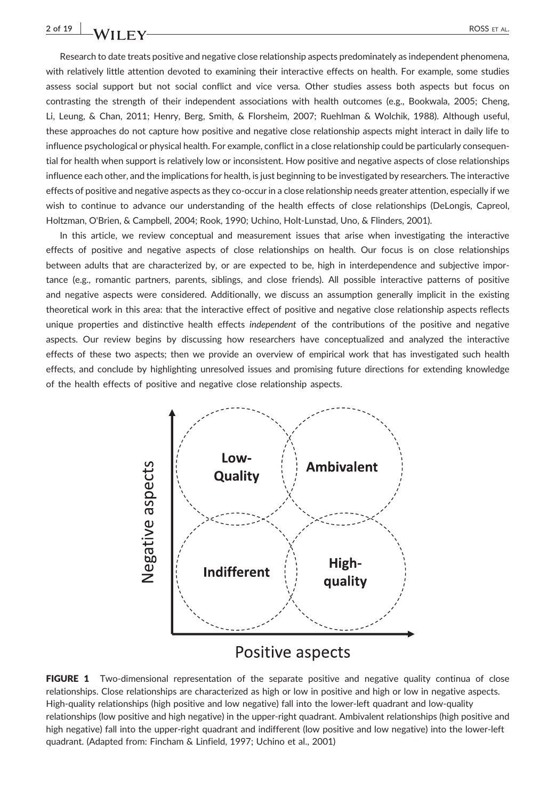# **2 of 19 ROSS** ET AL.

Research to date treats positive and negative close relationship aspects predominately as independent phenomena, with relatively little attention devoted to examining their interactive effects on health. For example, some studies assess social support but not social conflict and vice versa. Other studies assess both aspects but focus on contrasting the strength of their independent associations with health outcomes (e.g., Bookwala, 2005; Cheng, Li, Leung, & Chan, 2011; Henry, Berg, Smith, & Florsheim, 2007; Ruehlman & Wolchik, 1988). Although useful, these approaches do not capture how positive and negative close relationship aspects might interact in daily life to influence psychological or physical health. For example, conflict in a close relationship could be particularly consequential for health when support is relatively low or inconsistent. How positive and negative aspects of close relationships influence each other, and the implications for health, is just beginning to be investigated by researchers. The interactive effects of positive and negative aspects as they co‐occur in a close relationship needs greater attention, especially if we wish to continue to advance our understanding of the health effects of close relationships (DeLongis, Capreol, Holtzman, O'Brien, & Campbell, 2004; Rook, 1990; Uchino, Holt‐Lunstad, Uno, & Flinders, 2001).

In this article, we review conceptual and measurement issues that arise when investigating the interactive effects of positive and negative aspects of close relationships on health. Our focus is on close relationships between adults that are characterized by, or are expected to be, high in interdependence and subjective importance (e.g., romantic partners, parents, siblings, and close friends). All possible interactive patterns of positive and negative aspects were considered. Additionally, we discuss an assumption generally implicit in the existing theoretical work in this area: that the interactive effect of positive and negative close relationship aspects reflects unique properties and distinctive health effects *independent* of the contributions of the positive and negative aspects. Our review begins by discussing how researchers have conceptualized and analyzed the interactive effects of these two aspects; then we provide an overview of empirical work that has investigated such health effects, and conclude by highlighting unresolved issues and promising future directions for extending knowledge of the health effects of positive and negative close relationship aspects.



# Positive aspects

FIGURE 1 Two-dimensional representation of the separate positive and negative quality continua of close relationships. Close relationships are characterized as high or low in positive and high or low in negative aspects. High‐quality relationships (high positive and low negative) fall into the lower‐left quadrant and low‐quality relationships (low positive and high negative) in the upper-right quadrant. Ambivalent relationships (high positive and high negative) fall into the upper-right quadrant and indifferent (low positive and low negative) into the lower-left quadrant. (Adapted from: Fincham & Linfield, 1997; Uchino et al., 2001)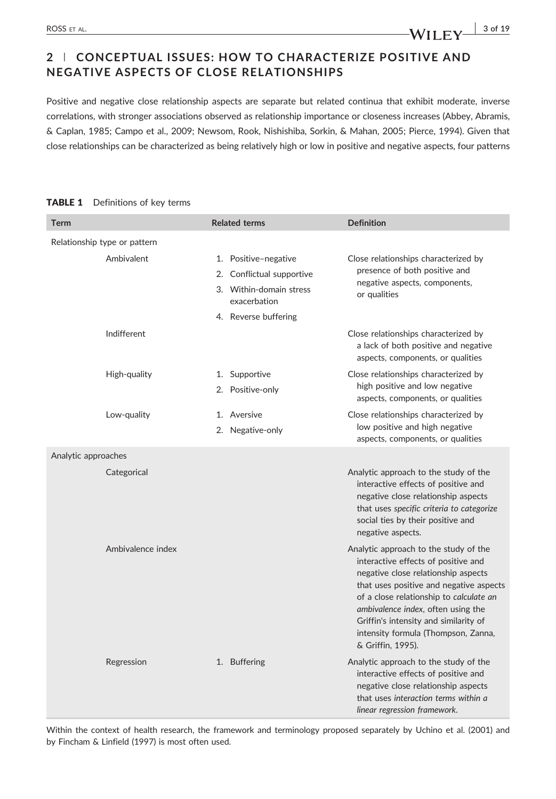# **2** | **CONCEPTUAL ISSUES: HOW TO CHARACTERIZE POSITIVE AND NEGATIVE ASPECTS OF CLOSE RELATIONSHIPS**

Positive and negative close relationship aspects are separate but related continua that exhibit moderate, inverse correlations, with stronger associations observed as relationship importance or closeness increases (Abbey, Abramis, & Caplan, 1985; Campo et al., 2009; Newsom, Rook, Nishishiba, Sorkin, & Mahan, 2005; Pierce, 1994). Given that close relationships can be characterized as being relatively high or low in positive and negative aspects, four patterns

#### **Term Construction Construction Related terms Definition Definition** Relationship type or pattern Ambivalent 1. Positive-negative 2. Conflictual supportive 3. Within‐domain stress exacerbation 4. Reverse buffering Close relationships characterized by presence of both positive and negative aspects, components, or qualities Indifferent Close relationships characterized by a lack of both positive and negative aspects, components, or qualities High-quality 1. Supportive 2. Positive-only Close relationships characterized by high positive and low negative aspects, components, or qualities Low-quality 1. Aversive 2. Negative‐only Close relationships characterized by low positive and high negative aspects, components, or qualities Analytic approaches Categorical Categorical Categorical Analytic approach to the study of the study of the study of the study of the study of the study of the study of the study of the study of the study of the study of the study of the study interactive effects of positive and negative close relationship aspects that uses *specific criteria to categorize* social ties by their positive and negative aspects. Ambivalence index **Analytic approach to the study of the** interactive effects of positive and negative close relationship aspects that uses positive and negative aspects of a close relationship to *calculate an ambivalence index*, often using the Griffin's intensity and similarity of intensity formula (Thompson, Zanna, & Griffin, 1995). Regression 1. Buffering Analytic approach to the study of the interactive effects of positive and negative close relationship aspects that uses *interaction terms within a*

#### TABLE 1 Definitions of key terms

Within the context of health research, the framework and terminology proposed separately by Uchino et al. (2001) and by Fincham & Linfield (1997) is most often used.

*linear regression framework*.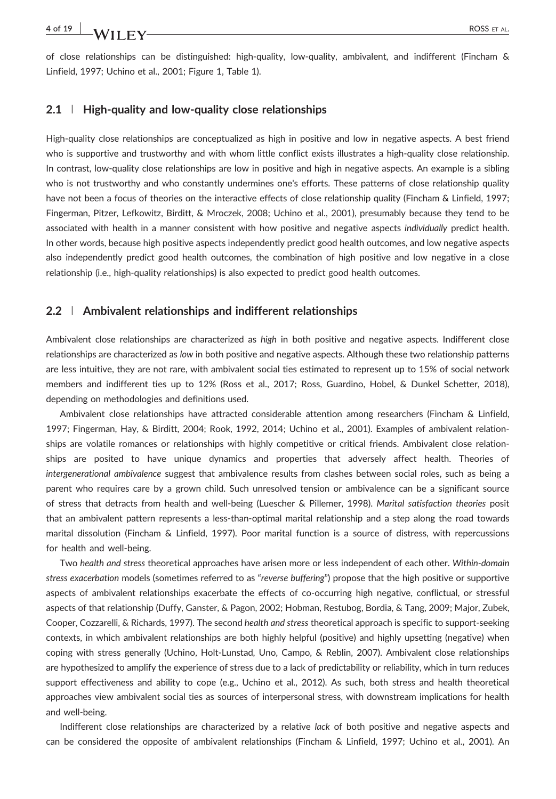of close relationships can be distinguished: high‐quality, low‐quality, ambivalent, and indifferent (Fincham & Linfield, 1997; Uchino et al., 2001; Figure 1, Table 1).

#### **2.1** | **High‐quality and low‐quality close relationships**

High-quality close relationships are conceptualized as high in positive and low in negative aspects. A best friend who is supportive and trustworthy and with whom little conflict exists illustrates a high-quality close relationship. In contrast, low-quality close relationships are low in positive and high in negative aspects. An example is a sibling who is not trustworthy and who constantly undermines one's efforts. These patterns of close relationship quality have not been a focus of theories on the interactive effects of close relationship quality (Fincham & Linfield, 1997; Fingerman, Pitzer, Lefkowitz, Birditt, & Mroczek, 2008; Uchino et al., 2001), presumably because they tend to be associated with health in a manner consistent with how positive and negative aspects *individually* predict health. In other words, because high positive aspects independently predict good health outcomes, and low negative aspects also independently predict good health outcomes, the combination of high positive and low negative in a close relationship (i.e., high‐quality relationships) is also expected to predict good health outcomes.

#### **2.2** | **Ambivalent relationships and indifferent relationships**

Ambivalent close relationships are characterized as *high* in both positive and negative aspects. Indifferent close relationships are characterized as *low* in both positive and negative aspects. Although these two relationship patterns are less intuitive, they are not rare, with ambivalent social ties estimated to represent up to 15% of social network members and indifferent ties up to 12% (Ross et al., 2017; Ross, Guardino, Hobel, & Dunkel Schetter, 2018), depending on methodologies and definitions used.

Ambivalent close relationships have attracted considerable attention among researchers (Fincham & Linfield, 1997; Fingerman, Hay, & Birditt, 2004; Rook, 1992, 2014; Uchino et al., 2001). Examples of ambivalent relationships are volatile romances or relationships with highly competitive or critical friends. Ambivalent close relationships are posited to have unique dynamics and properties that adversely affect health. Theories of *intergenerational ambivalence* suggest that ambivalence results from clashes between social roles, such as being a parent who requires care by a grown child. Such unresolved tension or ambivalence can be a significant source of stress that detracts from health and well‐being (Luescher & Pillemer, 1998). *Marital satisfaction theories* posit that an ambivalent pattern represents a less-than-optimal marital relationship and a step along the road towards marital dissolution (Fincham & Linfield, 1997). Poor marital function is a source of distress, with repercussions for health and well‐being.

Two *health and stress* theoretical approaches have arisen more or less independent of each other. *Within‐domain stress exacerbation* models (sometimes referred to as "*reverse buffering*") propose that the high positive or supportive aspects of ambivalent relationships exacerbate the effects of co‐occurring high negative, conflictual, or stressful aspects of that relationship (Duffy, Ganster, & Pagon, 2002; Hobman, Restubog, Bordia, & Tang, 2009; Major, Zubek, Cooper, Cozzarelli, & Richards, 1997). The second *health and stress* theoretical approach is specific to support‐seeking contexts, in which ambivalent relationships are both highly helpful (positive) and highly upsetting (negative) when coping with stress generally (Uchino, Holt‐Lunstad, Uno, Campo, & Reblin, 2007). Ambivalent close relationships are hypothesized to amplify the experience of stress due to a lack of predictability or reliability, which in turn reduces support effectiveness and ability to cope (e.g., Uchino et al., 2012). As such, both stress and health theoretical approaches view ambivalent social ties as sources of interpersonal stress, with downstream implications for health and well‐being.

Indifferent close relationships are characterized by a relative *lack* of both positive and negative aspects and can be considered the opposite of ambivalent relationships (Fincham & Linfield, 1997; Uchino et al., 2001). An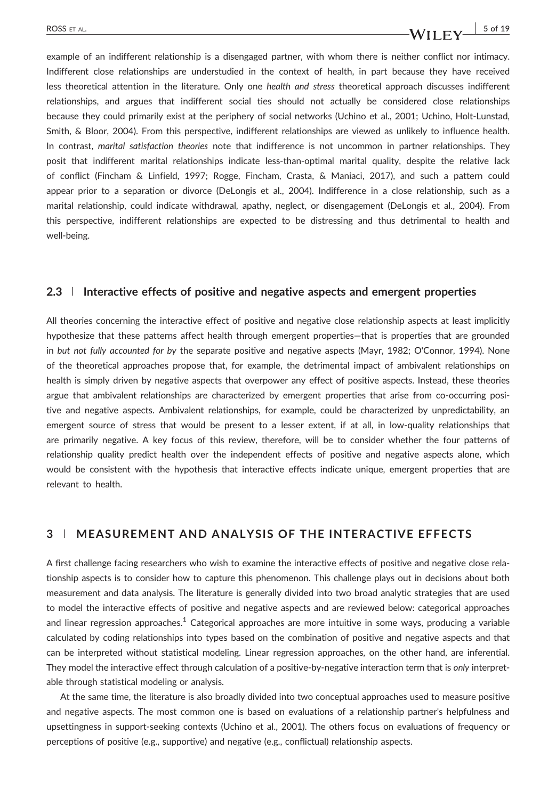#### ROSS ET AL.  $\begin{array}{c|c|c|c|c|c} \hline \textbf{3} & 5 & 6 & 19 \ \hline \end{array}$

example of an indifferent relationship is a disengaged partner, with whom there is neither conflict nor intimacy. Indifferent close relationships are understudied in the context of health, in part because they have received less theoretical attention in the literature. Only one *health and stress* theoretical approach discusses indifferent relationships, and argues that indifferent social ties should not actually be considered close relationships because they could primarily exist at the periphery of social networks (Uchino et al., 2001; Uchino, Holt‐Lunstad, Smith, & Bloor, 2004). From this perspective, indifferent relationships are viewed as unlikely to influence health. In contrast, *marital satisfaction theories* note that indifference is not uncommon in partner relationships. They posit that indifferent marital relationships indicate less-than-optimal marital quality, despite the relative lack of conflict (Fincham & Linfield, 1997; Rogge, Fincham, Crasta, & Maniaci, 2017), and such a pattern could appear prior to a separation or divorce (DeLongis et al., 2004). Indifference in a close relationship, such as a marital relationship, could indicate withdrawal, apathy, neglect, or disengagement (DeLongis et al., 2004). From this perspective, indifferent relationships are expected to be distressing and thus detrimental to health and well‐being.

#### **2.3** | **Interactive effects of positive and negative aspects and emergent properties**

All theories concerning the interactive effect of positive and negative close relationship aspects at least implicitly hypothesize that these patterns affect health through emergent properties—that is properties that are grounded in *but not fully accounted for by* the separate positive and negative aspects (Mayr, 1982; O'Connor, 1994). None of the theoretical approaches propose that, for example, the detrimental impact of ambivalent relationships on health is simply driven by negative aspects that overpower any effect of positive aspects. Instead, these theories argue that ambivalent relationships are characterized by emergent properties that arise from co-occurring positive and negative aspects. Ambivalent relationships, for example, could be characterized by unpredictability, an emergent source of stress that would be present to a lesser extent, if at all, in low-quality relationships that are primarily negative. A key focus of this review, therefore, will be to consider whether the four patterns of relationship quality predict health over the independent effects of positive and negative aspects alone, which would be consistent with the hypothesis that interactive effects indicate unique, emergent properties that are relevant to health.

### **3** | **MEASUREMENT AND ANALYSIS OF THE INTERACTIVE EFFECTS**

A first challenge facing researchers who wish to examine the interactive effects of positive and negative close relationship aspects is to consider how to capture this phenomenon. This challenge plays out in decisions about both measurement and data analysis. The literature is generally divided into two broad analytic strategies that are used to model the interactive effects of positive and negative aspects and are reviewed below: categorical approaches and linear regression approaches.<sup>1</sup> Categorical approaches are more intuitive in some ways, producing a variable calculated by coding relationships into types based on the combination of positive and negative aspects and that can be interpreted without statistical modeling. Linear regression approaches, on the other hand, are inferential. They model the interactive effect through calculation of a positive‐by‐negative interaction term that is *only* interpretable through statistical modeling or analysis.

At the same time, the literature is also broadly divided into two conceptual approaches used to measure positive and negative aspects. The most common one is based on evaluations of a relationship partner's helpfulness and upsettingness in support‐seeking contexts (Uchino et al., 2001). The others focus on evaluations of frequency or perceptions of positive (e.g., supportive) and negative (e.g., conflictual) relationship aspects.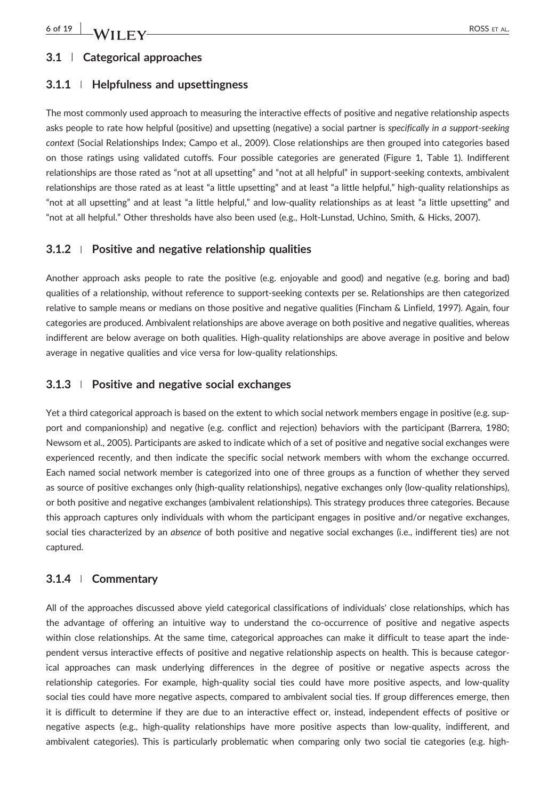### **3.1** | **Categorical approaches**

#### **3.1.1** <sup>|</sup> **Helpfulness and upsettingness**

The most commonly used approach to measuring the interactive effects of positive and negative relationship aspects asks people to rate how helpful (positive) and upsetting (negative) a social partner is *specifically in a support‐seeking context* (Social Relationships Index; Campo et al., 2009). Close relationships are then grouped into categories based on those ratings using validated cutoffs. Four possible categories are generated (Figure 1, Table 1). Indifferent relationships are those rated as "not at all upsetting" and "not at all helpful" in support‐seeking contexts, ambivalent relationships are those rated as at least "a little upsetting" and at least "a little helpful," high‐quality relationships as "not at all upsetting" and at least "a little helpful," and low‐quality relationships as at least "a little upsetting" and "not at all helpful." Other thresholds have also been used (e.g., Holt‐Lunstad, Uchino, Smith, & Hicks, 2007).

#### **3.1.2** <sup>|</sup> **Positive and negative relationship qualities**

Another approach asks people to rate the positive (e.g. enjoyable and good) and negative (e.g. boring and bad) qualities of a relationship, without reference to support‐seeking contexts per se. Relationships are then categorized relative to sample means or medians on those positive and negative qualities (Fincham & Linfield, 1997). Again, four categories are produced. Ambivalent relationships are above average on both positive and negative qualities, whereas indifferent are below average on both qualities. High‐quality relationships are above average in positive and below average in negative qualities and vice versa for low-quality relationships.

#### **3.1.3** <sup>|</sup> **Positive and negative social exchanges**

Yet a third categorical approach is based on the extent to which social network members engage in positive (e.g. support and companionship) and negative (e.g. conflict and rejection) behaviors with the participant (Barrera, 1980; Newsom et al., 2005). Participants are asked to indicate which of a set of positive and negative social exchanges were experienced recently, and then indicate the specific social network members with whom the exchange occurred. Each named social network member is categorized into one of three groups as a function of whether they served as source of positive exchanges only (high‐quality relationships), negative exchanges only (low‐quality relationships), or both positive and negative exchanges (ambivalent relationships). This strategy produces three categories. Because this approach captures only individuals with whom the participant engages in positive and/or negative exchanges, social ties characterized by an *absence* of both positive and negative social exchanges (i.e., indifferent ties) are not captured.

#### **3.1.4** <sup>|</sup> **Commentary**

All of the approaches discussed above yield categorical classifications of individuals' close relationships, which has the advantage of offering an intuitive way to understand the co-occurrence of positive and negative aspects within close relationships. At the same time, categorical approaches can make it difficult to tease apart the independent versus interactive effects of positive and negative relationship aspects on health. This is because categorical approaches can mask underlying differences in the degree of positive or negative aspects across the relationship categories. For example, high-quality social ties could have more positive aspects, and low-quality social ties could have more negative aspects, compared to ambivalent social ties. If group differences emerge, then it is difficult to determine if they are due to an interactive effect or, instead, independent effects of positive or negative aspects (e.g., high‐quality relationships have more positive aspects than low‐quality, indifferent, and ambivalent categories). This is particularly problematic when comparing only two social tie categories (e.g. high‐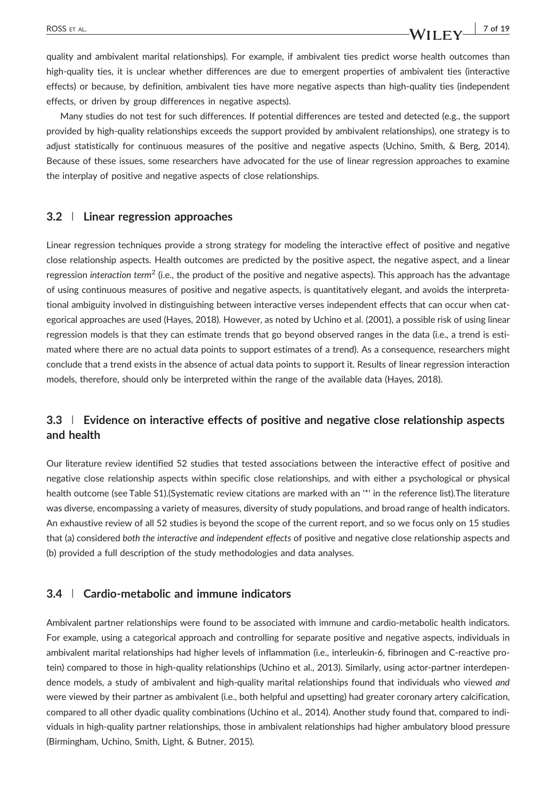quality and ambivalent marital relationships). For example, if ambivalent ties predict worse health outcomes than high-quality ties, it is unclear whether differences are due to emergent properties of ambivalent ties (interactive effects) or because, by definition, ambivalent ties have more negative aspects than high-quality ties (independent effects, or driven by group differences in negative aspects).

Many studies do not test for such differences. If potential differences are tested and detected (e.g., the support provided by high‐quality relationships exceeds the support provided by ambivalent relationships), one strategy is to adjust statistically for continuous measures of the positive and negative aspects (Uchino, Smith, & Berg, 2014). Because of these issues, some researchers have advocated for the use of linear regression approaches to examine the interplay of positive and negative aspects of close relationships.

#### **3.2** | **Linear regression approaches**

Linear regression techniques provide a strong strategy for modeling the interactive effect of positive and negative close relationship aspects. Health outcomes are predicted by the positive aspect, the negative aspect, and a linear regression *interaction term*<sup>2</sup> (i.e., the product of the positive and negative aspects). This approach has the advantage of using continuous measures of positive and negative aspects, is quantitatively elegant, and avoids the interpretational ambiguity involved in distinguishing between interactive verses independent effects that can occur when categorical approaches are used (Hayes, 2018). However, as noted by Uchino et al. (2001), a possible risk of using linear regression models is that they can estimate trends that go beyond observed ranges in the data (i.e., a trend is estimated where there are no actual data points to support estimates of a trend). As a consequence, researchers might conclude that a trend exists in the absence of actual data points to support it. Results of linear regression interaction models, therefore, should only be interpreted within the range of the available data (Hayes, 2018).

### **3.3** | **Evidence on interactive effects of positive and negative close relationship aspects and health**

Our literature review identified 52 studies that tested associations between the interactive effect of positive and negative close relationship aspects within specific close relationships, and with either a psychological or physical health outcome (see Table S1).(Systematic review citations are marked with an '\*' in the reference list).The literature was diverse, encompassing a variety of measures, diversity of study populations, and broad range of health indicators. An exhaustive review of all 52 studies is beyond the scope of the current report, and so we focus only on 15 studies that (a) considered *both the interactive and independent effects* of positive and negative close relationship aspects and (b) provided a full description of the study methodologies and data analyses.

#### **3.4** | **Cardio‐metabolic and immune indicators**

Ambivalent partner relationships were found to be associated with immune and cardio‐metabolic health indicators. For example, using a categorical approach and controlling for separate positive and negative aspects, individuals in ambivalent marital relationships had higher levels of inflammation (i.e., interleukin‐6, fibrinogen and C‐reactive protein) compared to those in high‐quality relationships (Uchino et al., 2013). Similarly, using actor‐partner interdependence models, a study of ambivalent and high‐quality marital relationships found that individuals who viewed *and* were viewed by their partner as ambivalent (i.e., both helpful and upsetting) had greater coronary artery calcification, compared to all other dyadic quality combinations (Uchino et al., 2014). Another study found that, compared to individuals in high‐quality partner relationships, those in ambivalent relationships had higher ambulatory blood pressure (Birmingham, Uchino, Smith, Light, & Butner, 2015).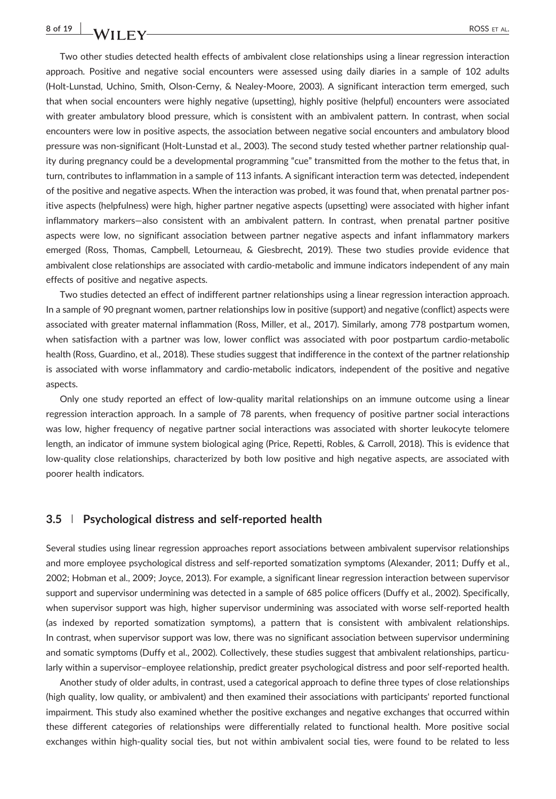# **8 of 19 ROSS** ET AL.

Two other studies detected health effects of ambivalent close relationships using a linear regression interaction approach. Positive and negative social encounters were assessed using daily diaries in a sample of 102 adults (Holt‐Lunstad, Uchino, Smith, Olson‐Cerny, & Nealey‐Moore, 2003). A significant interaction term emerged, such that when social encounters were highly negative (upsetting), highly positive (helpful) encounters were associated with greater ambulatory blood pressure, which is consistent with an ambivalent pattern. In contrast, when social encounters were low in positive aspects, the association between negative social encounters and ambulatory blood pressure was non‐significant (Holt‐Lunstad et al., 2003). The second study tested whether partner relationship quality during pregnancy could be a developmental programming "cue" transmitted from the mother to the fetus that, in turn, contributes to inflammation in a sample of 113 infants. A significant interaction term was detected, independent of the positive and negative aspects. When the interaction was probed, it was found that, when prenatal partner positive aspects (helpfulness) were high, higher partner negative aspects (upsetting) were associated with higher infant inflammatory markers—also consistent with an ambivalent pattern. In contrast, when prenatal partner positive aspects were low, no significant association between partner negative aspects and infant inflammatory markers emerged (Ross, Thomas, Campbell, Letourneau, & Giesbrecht, 2019). These two studies provide evidence that ambivalent close relationships are associated with cardio‐metabolic and immune indicators independent of any main effects of positive and negative aspects.

Two studies detected an effect of indifferent partner relationships using a linear regression interaction approach. In a sample of 90 pregnant women, partner relationships low in positive (support) and negative (conflict) aspects were associated with greater maternal inflammation (Ross, Miller, et al., 2017). Similarly, among 778 postpartum women, when satisfaction with a partner was low, lower conflict was associated with poor postpartum cardio‐metabolic health (Ross, Guardino, et al., 2018). These studies suggest that indifference in the context of the partner relationship is associated with worse inflammatory and cardio‐metabolic indicators, independent of the positive and negative aspects.

Only one study reported an effect of low‐quality marital relationships on an immune outcome using a linear regression interaction approach. In a sample of 78 parents, when frequency of positive partner social interactions was low, higher frequency of negative partner social interactions was associated with shorter leukocyte telomere length, an indicator of immune system biological aging (Price, Repetti, Robles, & Carroll, 2018). This is evidence that low‐quality close relationships, characterized by both low positive and high negative aspects, are associated with poorer health indicators.

#### **3.5** | **Psychological distress and self‐reported health**

Several studies using linear regression approaches report associations between ambivalent supervisor relationships and more employee psychological distress and self-reported somatization symptoms (Alexander, 2011; Duffy et al., 2002; Hobman et al., 2009; Joyce, 2013). For example, a significant linear regression interaction between supervisor support and supervisor undermining was detected in a sample of 685 police officers (Duffy et al., 2002). Specifically, when supervisor support was high, higher supervisor undermining was associated with worse self-reported health (as indexed by reported somatization symptoms), a pattern that is consistent with ambivalent relationships. In contrast, when supervisor support was low, there was no significant association between supervisor undermining and somatic symptoms (Duffy et al., 2002). Collectively, these studies suggest that ambivalent relationships, particularly within a supervisor–employee relationship, predict greater psychological distress and poor self‐reported health.

Another study of older adults, in contrast, used a categorical approach to define three types of close relationships (high quality, low quality, or ambivalent) and then examined their associations with participants' reported functional impairment. This study also examined whether the positive exchanges and negative exchanges that occurred within these different categories of relationships were differentially related to functional health. More positive social exchanges within high-quality social ties, but not within ambivalent social ties, were found to be related to less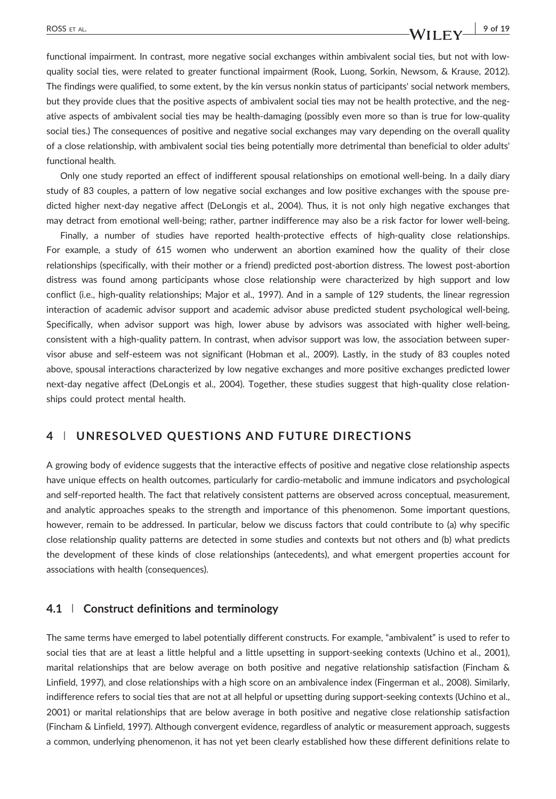# ROSS ET AL. **9 of 19** of 19

functional impairment. In contrast, more negative social exchanges within ambivalent social ties, but not with lowquality social ties, were related to greater functional impairment (Rook, Luong, Sorkin, Newsom, & Krause, 2012). The findings were qualified, to some extent, by the kin versus nonkin status of participants' social network members, but they provide clues that the positive aspects of ambivalent social ties may not be health protective, and the negative aspects of ambivalent social ties may be health‐damaging (possibly even more so than is true for low‐quality social ties.) The consequences of positive and negative social exchanges may vary depending on the overall quality of a close relationship, with ambivalent social ties being potentially more detrimental than beneficial to older adults' functional health.

Only one study reported an effect of indifferent spousal relationships on emotional well‐being. In a daily diary study of 83 couples, a pattern of low negative social exchanges and low positive exchanges with the spouse predicted higher next-day negative affect (DeLongis et al., 2004). Thus, it is not only high negative exchanges that may detract from emotional well‐being; rather, partner indifference may also be a risk factor for lower well‐being.

Finally, a number of studies have reported health-protective effects of high-quality close relationships. For example, a study of 615 women who underwent an abortion examined how the quality of their close relationships (specifically, with their mother or a friend) predicted post‐abortion distress. The lowest post‐abortion distress was found among participants whose close relationship were characterized by high support and low conflict (i.e., high-quality relationships; Major et al., 1997). And in a sample of 129 students, the linear regression interaction of academic advisor support and academic advisor abuse predicted student psychological well‐being. Specifically, when advisor support was high, lower abuse by advisors was associated with higher well‐being, consistent with a high-quality pattern. In contrast, when advisor support was low, the association between supervisor abuse and self‐esteem was not significant (Hobman et al., 2009). Lastly, in the study of 83 couples noted above, spousal interactions characterized by low negative exchanges and more positive exchanges predicted lower next-day negative affect (DeLongis et al., 2004). Together, these studies suggest that high-quality close relationships could protect mental health.

### **4** | **UNRESOLVED QUESTIONS AND FUTURE DIRECTIONS**

A growing body of evidence suggests that the interactive effects of positive and negative close relationship aspects have unique effects on health outcomes, particularly for cardio-metabolic and immune indicators and psychological and self-reported health. The fact that relatively consistent patterns are observed across conceptual, measurement, and analytic approaches speaks to the strength and importance of this phenomenon. Some important questions, however, remain to be addressed. In particular, below we discuss factors that could contribute to (a) why specific close relationship quality patterns are detected in some studies and contexts but not others and (b) what predicts the development of these kinds of close relationships (antecedents), and what emergent properties account for associations with health (consequences).

### **4.1** | **Construct definitions and terminology**

The same terms have emerged to label potentially different constructs. For example, "ambivalent" is used to refer to social ties that are at least a little helpful and a little upsetting in support-seeking contexts (Uchino et al., 2001), marital relationships that are below average on both positive and negative relationship satisfaction (Fincham & Linfield, 1997), and close relationships with a high score on an ambivalence index (Fingerman et al., 2008). Similarly, indifference refers to social ties that are not at all helpful or upsetting during support‐seeking contexts (Uchino et al., 2001) or marital relationships that are below average in both positive and negative close relationship satisfaction (Fincham & Linfield, 1997). Although convergent evidence, regardless of analytic or measurement approach, suggests a common, underlying phenomenon, it has not yet been clearly established how these different definitions relate to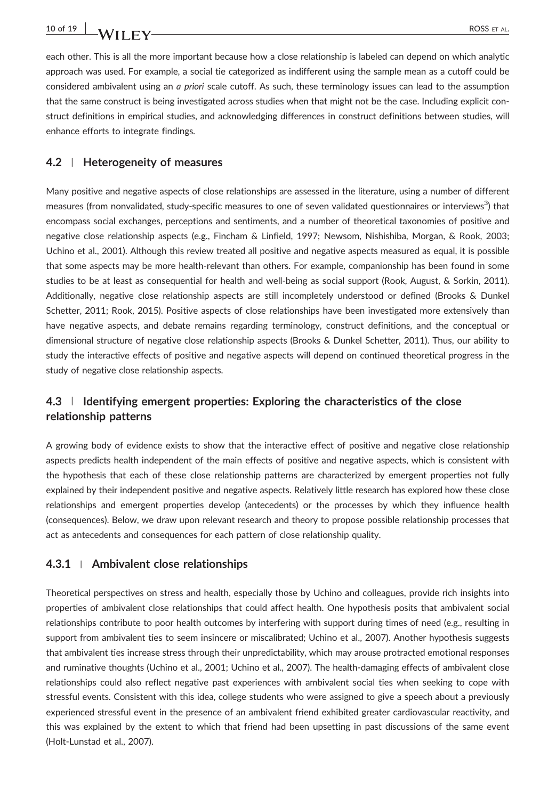each other. This is all the more important because how a close relationship is labeled can depend on which analytic approach was used. For example, a social tie categorized as indifferent using the sample mean as a cutoff could be considered ambivalent using an *a priori* scale cutoff. As such, these terminology issues can lead to the assumption that the same construct is being investigated across studies when that might not be the case. Including explicit construct definitions in empirical studies, and acknowledging differences in construct definitions between studies, will enhance efforts to integrate findings.

### **4.2** | **Heterogeneity of measures**

Many positive and negative aspects of close relationships are assessed in the literature, using a number of different measures (from nonvalidated, study-specific measures to one of seven validated questionnaires or interviews $^3$ ) that encompass social exchanges, perceptions and sentiments, and a number of theoretical taxonomies of positive and negative close relationship aspects (e.g., Fincham & Linfield, 1997; Newsom, Nishishiba, Morgan, & Rook, 2003; Uchino et al., 2001). Although this review treated all positive and negative aspects measured as equal, it is possible that some aspects may be more health‐relevant than others. For example, companionship has been found in some studies to be at least as consequential for health and well‐being as social support (Rook, August, & Sorkin, 2011). Additionally, negative close relationship aspects are still incompletely understood or defined (Brooks & Dunkel Schetter, 2011; Rook, 2015). Positive aspects of close relationships have been investigated more extensively than have negative aspects, and debate remains regarding terminology, construct definitions, and the conceptual or dimensional structure of negative close relationship aspects (Brooks & Dunkel Schetter, 2011). Thus, our ability to study the interactive effects of positive and negative aspects will depend on continued theoretical progress in the study of negative close relationship aspects.

# **4.3** | **Identifying emergent properties: Exploring the characteristics of the close relationship patterns**

A growing body of evidence exists to show that the interactive effect of positive and negative close relationship aspects predicts health independent of the main effects of positive and negative aspects, which is consistent with the hypothesis that each of these close relationship patterns are characterized by emergent properties not fully explained by their independent positive and negative aspects. Relatively little research has explored how these close relationships and emergent properties develop (antecedents) or the processes by which they influence health (consequences). Below, we draw upon relevant research and theory to propose possible relationship processes that act as antecedents and consequences for each pattern of close relationship quality.

### **4.3.1** <sup>|</sup> **Ambivalent close relationships**

Theoretical perspectives on stress and health, especially those by Uchino and colleagues, provide rich insights into properties of ambivalent close relationships that could affect health. One hypothesis posits that ambivalent social relationships contribute to poor health outcomes by interfering with support during times of need (e.g., resulting in support from ambivalent ties to seem insincere or miscalibrated; Uchino et al., 2007). Another hypothesis suggests that ambivalent ties increase stress through their unpredictability, which may arouse protracted emotional responses and ruminative thoughts (Uchino et al., 2001; Uchino et al., 2007). The health‐damaging effects of ambivalent close relationships could also reflect negative past experiences with ambivalent social ties when seeking to cope with stressful events. Consistent with this idea, college students who were assigned to give a speech about a previously experienced stressful event in the presence of an ambivalent friend exhibited greater cardiovascular reactivity, and this was explained by the extent to which that friend had been upsetting in past discussions of the same event (Holt‐Lunstad et al., 2007).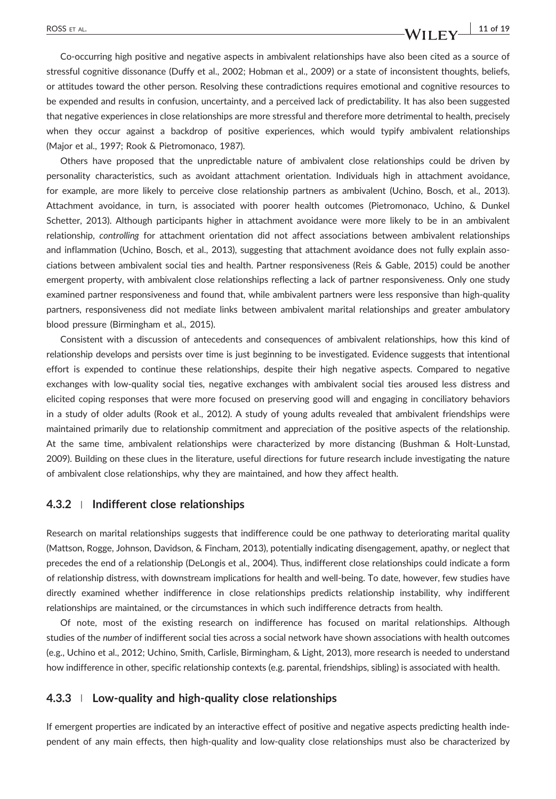#### ROSS ET AL. **11 of 19 11 of 19**

Co‐occurring high positive and negative aspects in ambivalent relationships have also been cited as a source of stressful cognitive dissonance (Duffy et al., 2002; Hobman et al., 2009) or a state of inconsistent thoughts, beliefs, or attitudes toward the other person. Resolving these contradictions requires emotional and cognitive resources to be expended and results in confusion, uncertainty, and a perceived lack of predictability. It has also been suggested that negative experiences in close relationships are more stressful and therefore more detrimental to health, precisely when they occur against a backdrop of positive experiences, which would typify ambivalent relationships (Major et al., 1997; Rook & Pietromonaco, 1987).

Others have proposed that the unpredictable nature of ambivalent close relationships could be driven by personality characteristics, such as avoidant attachment orientation. Individuals high in attachment avoidance, for example, are more likely to perceive close relationship partners as ambivalent (Uchino, Bosch, et al., 2013). Attachment avoidance, in turn, is associated with poorer health outcomes (Pietromonaco, Uchino, & Dunkel Schetter, 2013). Although participants higher in attachment avoidance were more likely to be in an ambivalent relationship, *controlling* for attachment orientation did not affect associations between ambivalent relationships and inflammation (Uchino, Bosch, et al., 2013), suggesting that attachment avoidance does not fully explain associations between ambivalent social ties and health. Partner responsiveness (Reis & Gable, 2015) could be another emergent property, with ambivalent close relationships reflecting a lack of partner responsiveness. Only one study examined partner responsiveness and found that, while ambivalent partners were less responsive than high-quality partners, responsiveness did not mediate links between ambivalent marital relationships and greater ambulatory blood pressure (Birmingham et al., 2015).

Consistent with a discussion of antecedents and consequences of ambivalent relationships, how this kind of relationship develops and persists over time is just beginning to be investigated. Evidence suggests that intentional effort is expended to continue these relationships, despite their high negative aspects. Compared to negative exchanges with low‐quality social ties, negative exchanges with ambivalent social ties aroused less distress and elicited coping responses that were more focused on preserving good will and engaging in conciliatory behaviors in a study of older adults (Rook et al., 2012). A study of young adults revealed that ambivalent friendships were maintained primarily due to relationship commitment and appreciation of the positive aspects of the relationship. At the same time, ambivalent relationships were characterized by more distancing (Bushman & Holt‐Lunstad, 2009). Building on these clues in the literature, useful directions for future research include investigating the nature of ambivalent close relationships, why they are maintained, and how they affect health.

#### **4.3.2** <sup>|</sup> **Indifferent close relationships**

Research on marital relationships suggests that indifference could be one pathway to deteriorating marital quality (Mattson, Rogge, Johnson, Davidson, & Fincham, 2013), potentially indicating disengagement, apathy, or neglect that precedes the end of a relationship (DeLongis et al., 2004). Thus, indifferent close relationships could indicate a form of relationship distress, with downstream implications for health and well‐being. To date, however, few studies have directly examined whether indifference in close relationships predicts relationship instability, why indifferent relationships are maintained, or the circumstances in which such indifference detracts from health.

Of note, most of the existing research on indifference has focused on marital relationships. Although studies of the *number* of indifferent social ties across a social network have shown associations with health outcomes (e.g., Uchino et al., 2012; Uchino, Smith, Carlisle, Birmingham, & Light, 2013), more research is needed to understand how indifference in other, specific relationship contexts (e.g. parental, friendships, sibling) is associated with health.

#### **4.3.3** <sup>|</sup> **Low‐quality and high‐quality close relationships**

If emergent properties are indicated by an interactive effect of positive and negative aspects predicting health independent of any main effects, then high‐quality and low‐quality close relationships must also be characterized by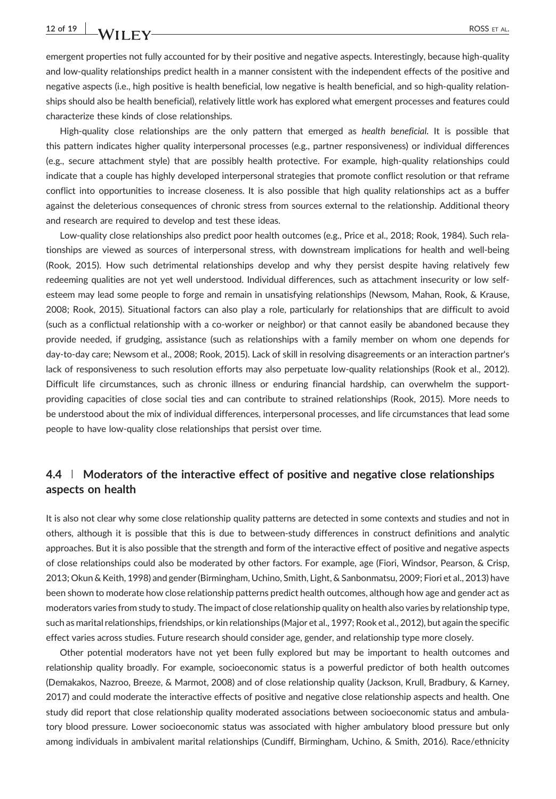emergent properties not fully accounted for by their positive and negative aspects. Interestingly, because high-quality and low-quality relationships predict health in a manner consistent with the independent effects of the positive and negative aspects (i.e., high positive is health beneficial, low negative is health beneficial, and so high‐quality relationships should also be health beneficial), relatively little work has explored what emergent processes and features could characterize these kinds of close relationships.

High‐quality close relationships are the only pattern that emerged as *health beneficial*. It is possible that this pattern indicates higher quality interpersonal processes (e.g., partner responsiveness) or individual differences (e.g., secure attachment style) that are possibly health protective. For example, high‐quality relationships could indicate that a couple has highly developed interpersonal strategies that promote conflict resolution or that reframe conflict into opportunities to increase closeness. It is also possible that high quality relationships act as a buffer against the deleterious consequences of chronic stress from sources external to the relationship. Additional theory and research are required to develop and test these ideas.

Low‐quality close relationships also predict poor health outcomes (e.g., Price et al., 2018; Rook, 1984). Such relationships are viewed as sources of interpersonal stress, with downstream implications for health and well‐being (Rook, 2015). How such detrimental relationships develop and why they persist despite having relatively few redeeming qualities are not yet well understood. Individual differences, such as attachment insecurity or low self‐ esteem may lead some people to forge and remain in unsatisfying relationships (Newsom, Mahan, Rook, & Krause, 2008; Rook, 2015). Situational factors can also play a role, particularly for relationships that are difficult to avoid (such as a conflictual relationship with a co‐worker or neighbor) or that cannot easily be abandoned because they provide needed, if grudging, assistance (such as relationships with a family member on whom one depends for day‐to‐day care; Newsom et al., 2008; Rook, 2015). Lack of skill in resolving disagreements or an interaction partner's lack of responsiveness to such resolution efforts may also perpetuate low‐quality relationships (Rook et al., 2012). Difficult life circumstances, such as chronic illness or enduring financial hardship, can overwhelm the supportproviding capacities of close social ties and can contribute to strained relationships (Rook, 2015). More needs to be understood about the mix of individual differences, interpersonal processes, and life circumstances that lead some people to have low‐quality close relationships that persist over time.

# **4.4** | **Moderators of the interactive effect of positive and negative close relationships aspects on health**

It is also not clear why some close relationship quality patterns are detected in some contexts and studies and not in others, although it is possible that this is due to between‐study differences in construct definitions and analytic approaches. But it is also possible that the strength and form of the interactive effect of positive and negative aspects of close relationships could also be moderated by other factors. For example, age (Fiori, Windsor, Pearson, & Crisp, 2013; Okun & Keith, 1998) and gender (Birmingham, Uchino, Smith, Light, & Sanbonmatsu, 2009; Fiori et al., 2013) have been shown to moderate how close relationship patterns predict health outcomes, although how age and gender act as moderators varies from study to study. The impact of close relationship quality on health also varies by relationship type, such as marital relationships, friendships, or kin relationships (Major et al., 1997; Rook et al., 2012), but again the specific effect varies across studies. Future research should consider age, gender, and relationship type more closely.

Other potential moderators have not yet been fully explored but may be important to health outcomes and relationship quality broadly. For example, socioeconomic status is a powerful predictor of both health outcomes (Demakakos, Nazroo, Breeze, & Marmot, 2008) and of close relationship quality (Jackson, Krull, Bradbury, & Karney, 2017) and could moderate the interactive effects of positive and negative close relationship aspects and health. One study did report that close relationship quality moderated associations between socioeconomic status and ambulatory blood pressure. Lower socioeconomic status was associated with higher ambulatory blood pressure but only among individuals in ambivalent marital relationships (Cundiff, Birmingham, Uchino, & Smith, 2016). Race/ethnicity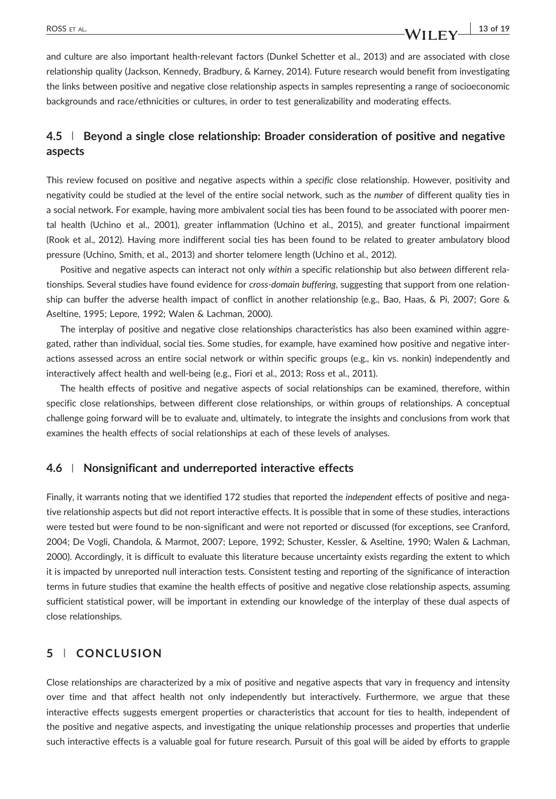and culture are also important health‐relevant factors (Dunkel Schetter et al., 2013) and are associated with close relationship quality (Jackson, Kennedy, Bradbury, & Karney, 2014). Future research would benefit from investigating the links between positive and negative close relationship aspects in samples representing a range of socioeconomic backgrounds and race/ethnicities or cultures, in order to test generalizability and moderating effects.

# **4.5** | **Beyond a single close relationship: Broader consideration of positive and negative aspects**

This review focused on positive and negative aspects within a *specific* close relationship. However, positivity and negativity could be studied at the level of the entire social network, such as the *number* of different quality ties in a social network. For example, having more ambivalent social ties has been found to be associated with poorer mental health (Uchino et al., 2001), greater inflammation (Uchino et al., 2015), and greater functional impairment (Rook et al., 2012). Having more indifferent social ties has been found to be related to greater ambulatory blood pressure (Uchino, Smith, et al., 2013) and shorter telomere length (Uchino et al., 2012).

Positive and negative aspects can interact not only *within* a specific relationship but also *between* different relationships. Several studies have found evidence for *cross‐domain buffering*, suggesting that support from one relationship can buffer the adverse health impact of conflict in another relationship (e.g., Bao, Haas, & Pi, 2007; Gore & Aseltine, 1995; Lepore, 1992; Walen & Lachman, 2000).

The interplay of positive and negative close relationships characteristics has also been examined within aggregated, rather than individual, social ties. Some studies, for example, have examined how positive and negative interactions assessed across an entire social network or within specific groups (e.g., kin vs. nonkin) independently and interactively affect health and well-being (e.g., Fiori et al., 2013; Ross et al., 2011).

The health effects of positive and negative aspects of social relationships can be examined, therefore, within specific close relationships, between different close relationships, or within groups of relationships. A conceptual challenge going forward will be to evaluate and, ultimately, to integrate the insights and conclusions from work that examines the health effects of social relationships at each of these levels of analyses.

#### **4.6** | **Nonsignificant and underreported interactive effects**

Finally, it warrants noting that we identified 172 studies that reported the *independent* effects of positive and negative relationship aspects but did not report interactive effects. It is possible that in some of these studies, interactions were tested but were found to be non-significant and were not reported or discussed (for exceptions, see Cranford, 2004; De Vogli, Chandola, & Marmot, 2007; Lepore, 1992; Schuster, Kessler, & Aseltine, 1990; Walen & Lachman, 2000). Accordingly, it is difficult to evaluate this literature because uncertainty exists regarding the extent to which it is impacted by unreported null interaction tests. Consistent testing and reporting of the significance of interaction terms in future studies that examine the health effects of positive and negative close relationship aspects, assuming sufficient statistical power, will be important in extending our knowledge of the interplay of these dual aspects of close relationships.

### **5** | **CONCLUSION**

Close relationships are characterized by a mix of positive and negative aspects that vary in frequency and intensity over time and that affect health not only independently but interactively. Furthermore, we argue that these interactive effects suggests emergent properties or characteristics that account for ties to health, independent of the positive and negative aspects, and investigating the unique relationship processes and properties that underlie such interactive effects is a valuable goal for future research. Pursuit of this goal will be aided by efforts to grapple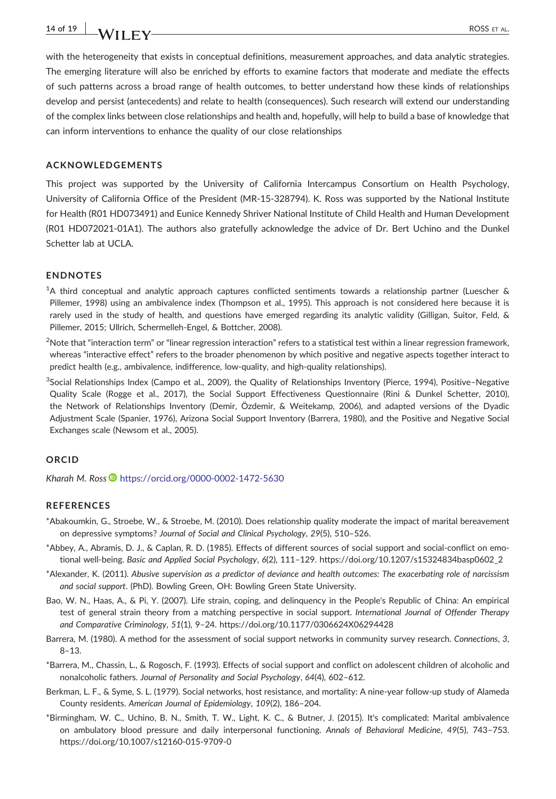with the heterogeneity that exists in conceptual definitions, measurement approaches, and data analytic strategies. The emerging literature will also be enriched by efforts to examine factors that moderate and mediate the effects of such patterns across a broad range of health outcomes, to better understand how these kinds of relationships develop and persist (antecedents) and relate to health (consequences). Such research will extend our understanding of the complex links between close relationships and health and, hopefully, will help to build a base of knowledge that can inform interventions to enhance the quality of our close relationships

#### **ACKNOWLEDGEMENTS**

This project was supported by the University of California Intercampus Consortium on Health Psychology, University of California Office of the President (MR‐15‐328794). K. Ross was supported by the National Institute for Health (R01 HD073491) and Eunice Kennedy Shriver National Institute of Child Health and Human Development (R01 HD072021‐01A1). The authors also gratefully acknowledge the advice of Dr. Bert Uchino and the Dunkel Schetter lab at UCLA.

#### **ENDNOTES**

1 A third conceptual and analytic approach captures conflicted sentiments towards a relationship partner (Luescher & Pillemer, 1998) using an ambivalence index (Thompson et al., 1995). This approach is not considered here because it is rarely used in the study of health, and questions have emerged regarding its analytic validity (Gilligan, Suitor, Feld, & Pillemer, 2015; Ullrich, Schermelleh‐Engel, & Bottcher, 2008).

 $^2$ Note that "interaction term" or "linear regression interaction" refers to a statistical test within a linear regression framework, whereas "interactive effect" refers to the broader phenomenon by which positive and negative aspects together interact to predict health (e.g., ambivalence, indifference, low-quality, and high-quality relationships).

3 Social Relationships Index (Campo et al., 2009), the Quality of Relationships Inventory (Pierce, 1994), Positive–Negative Quality Scale (Rogge et al., 2017), the Social Support Effectiveness Questionnaire (Rini & Dunkel Schetter, 2010), the Network of Relationships Inventory (Demir, Özdemir, & Weitekamp, 2006), and adapted versions of the Dyadic Adjustment Scale (Spanier, 1976), Arizona Social Support Inventory (Barrera, 1980), and the Positive and Negative Social Exchanges scale (Newsom et al., 2005).

#### **ORCID**

*Kharah M. Ross* **<https://orcid.org/0000-0002-1472-5630>** 

#### **REFERENCES**

- \*Abakoumkin, G., Stroebe, W., & Stroebe, M. (2010). Does relationship quality moderate the impact of marital bereavement on depressive symptoms? *Journal of Social and Clinical Psychology*, *29*(5), 510–526.
- \*Abbey, A., Abramis, D. J., & Caplan, R. D. (1985). Effects of different sources of social support and social‐conflict on emotional well‐being. *Basic and Applied Social Psychology*, *6*(2), 111–129. [https://doi.org/10.1207/s15324834basp0602\\_2](https://doi.org/10.1207/s15324834basp0602_2)
- \*Alexander, K. (2011). *Abusive supervision as a predictor of deviance and health outcomes: The exacerbating role of narcissism and social support*. (PhD). Bowling Green, OH: Bowling Green State University.
- Bao, W. N., Haas, A., & Pi, Y. (2007). Life strain, coping, and delinquency in the People's Republic of China: An empirical test of general strain theory from a matching perspective in social support. *International Journal of Offender Therapy and Comparative Criminology*, *51*(1), 9–24.<https://doi.org/10.1177/0306624X06294428>
- Barrera, M. (1980). A method for the assessment of social support networks in community survey research. *Connections*, *3*, 8–13.
- \*Barrera, M., Chassin, L., & Rogosch, F. (1993). Effects of social support and conflict on adolescent children of alcoholic and nonalcoholic fathers. *Journal of Personality and Social Psychology*, *64*(4), 602–612.
- Berkman, L. F., & Syme, S. L. (1979). Social networks, host resistance, and mortality: A nine‐year follow‐up study of Alameda County residents. *American Journal of Epidemiology*, *109*(2), 186–204.
- \*Birmingham, W. C., Uchino, B. N., Smith, T. W., Light, K. C., & Butner, J. (2015). It's complicated: Marital ambivalence on ambulatory blood pressure and daily interpersonal functioning. *Annals of Behavioral Medicine*, *49*(5), 743–753. [https://doi.org/10.1007/s12160](https://doi.org/10.1007/s12160-015-9709-0)‐015‐9709‐0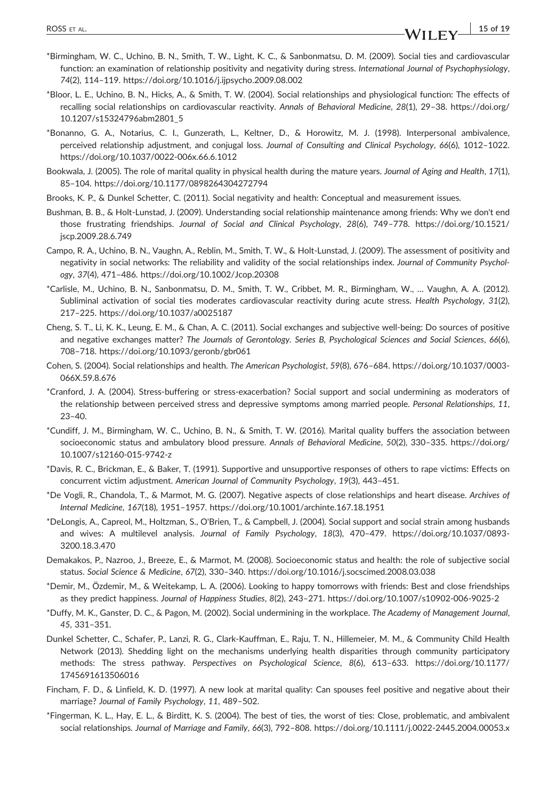- \*Birmingham, W. C., Uchino, B. N., Smith, T. W., Light, K. C., & Sanbonmatsu, D. M. (2009). Social ties and cardiovascular function: an examination of relationship positivity and negativity during stress. *International Journal of Psychophysiology*, *74*(2), 114–119.<https://doi.org/10.1016/j.ijpsycho.2009.08.002>
- \*Bloor, L. E., Uchino, B. N., Hicks, A., & Smith, T. W. (2004). Social relationships and physiological function: The effects of recalling social relationships on cardiovascular reactivity. *Annals of Behavioral Medicine*, *28*(1), 29–38. [https://doi.org/](https://doi.org/10.1207/s15324796abm2801_5) [10.1207/s15324796abm2801\\_5](https://doi.org/10.1207/s15324796abm2801_5)
- \*Bonanno, G. A., Notarius, C. I., Gunzerath, L., Keltner, D., & Horowitz, M. J. (1998). Interpersonal ambivalence, perceived relationship adjustment, and conjugal loss. *Journal of Consulting and Clinical Psychology*, *66*(6), 1012–1022. [https://doi.org/10.1037/0022](https://doi.org/10.1037/0022-006x.66.6.1012)‐006x.66.6.1012
- Bookwala, J. (2005). The role of marital quality in physical health during the mature years. *Journal of Aging and Health*, *17*(1), 85–104.<https://doi.org/10.1177/0898264304272794>
- Brooks, K. P., & Dunkel Schetter, C. (2011). Social negativity and health: Conceptual and measurement issues.
- Bushman, B. B., & Holt‐Lunstad, J. (2009). Understanding social relationship maintenance among friends: Why we don't end those frustrating friendships. *Journal of Social and Clinical Psychology*, *28*(6), 749–778. [https://doi.org/10.1521/](https://doi.org/10.1521/jscp.2009.28.6.749) [jscp.2009.28.6.749](https://doi.org/10.1521/jscp.2009.28.6.749)
- Campo, R. A., Uchino, B. N., Vaughn, A., Reblin, M., Smith, T. W., & Holt‐Lunstad, J. (2009). The assessment of positivity and negativity in social networks: The reliability and validity of the social relationships index. *Journal of Community Psychology*, *37*(4), 471–486.<https://doi.org/10.1002/Jcop.20308>
- \*Carlisle, M., Uchino, B. N., Sanbonmatsu, D. M., Smith, T. W., Cribbet, M. R., Birmingham, W., … Vaughn, A. A. (2012). Subliminal activation of social ties moderates cardiovascular reactivity during acute stress. *Health Psychology*, *31*(2), 217–225.<https://doi.org/10.1037/a0025187>
- Cheng, S. T., Li, K. K., Leung, E. M., & Chan, A. C. (2011). Social exchanges and subjective well‐being: Do sources of positive and negative exchanges matter? *The Journals of Gerontology. Series B, Psychological Sciences and Social Sciences*, *66*(6), 708–718.<https://doi.org/10.1093/geronb/gbr061>
- Cohen, S. (2004). Social relationships and health. *The American Psychologist*, *59*(8), 676–684. [https://doi.org/10.1037/0003](https://doi.org/10.1037/0003-066X.59.8.676)‐ [066X.59.8.676](https://doi.org/10.1037/0003-066X.59.8.676)
- \*Cranford, J. A. (2004). Stress‐buffering or stress‐exacerbation? Social support and social undermining as moderators of the relationship between perceived stress and depressive symptoms among married people. *Personal Relationships*, *11*,  $23 - 40.$
- \*Cundiff, J. M., Birmingham, W. C., Uchino, B. N., & Smith, T. W. (2016). Marital quality buffers the association between socioeconomic status and ambulatory blood pressure. *Annals of Behavioral Medicine*, *50*(2), 330–335. [https://doi.org/](https://doi.org/10.1007/s12160-015-9742-z) [10.1007/s12160](https://doi.org/10.1007/s12160-015-9742-z)‐015‐9742‐z
- \*Davis, R. C., Brickman, E., & Baker, T. (1991). Supportive and unsupportive responses of others to rape victims: Effects on concurrent victim adjustment. *American Journal of Community Psychology*, *19*(3), 443–451.
- \*De Vogli, R., Chandola, T., & Marmot, M. G. (2007). Negative aspects of close relationships and heart disease. *Archives of Internal Medicine*, *167*(18), 1951–1957.<https://doi.org/10.1001/archinte.167.18.1951>
- \*DeLongis, A., Capreol, M., Holtzman, S., O'Brien, T., & Campbell, J. (2004). Social support and social strain among husbands and wives: A multilevel analysis. *Journal of Family Psychology*, *18*(3), 470–479. [https://doi.org/10.1037/0893](https://doi.org/10.1037/0893-3200.18.3.470)‐ [3200.18.3.470](https://doi.org/10.1037/0893-3200.18.3.470)
- Demakakos, P., Nazroo, J., Breeze, E., & Marmot, M. (2008). Socioeconomic status and health: the role of subjective social status. *Social Science & Medicine*, *67*(2), 330–340.<https://doi.org/10.1016/j.socscimed.2008.03.038>
- \*Demir, M., Özdemir, M., & Weitekamp, L. A. (2006). Looking to happy tomorrows with friends: Best and close friendships as they predict happiness. *Journal of Happiness Studies*, *8*(2), 243–271. [https://doi.org/10.1007/s10902](https://doi.org/10.1007/s10902-006-9025-2)‐006‐9025‐2
- \*Duffy, M. K., Ganster, D. C., & Pagon, M. (2002). Social undermining in the workplace. *The Academy of Management Journal*, *45*, 331–351.
- Dunkel Schetter, C., Schafer, P., Lanzi, R. G., Clark‐Kauffman, E., Raju, T. N., Hillemeier, M. M., & Community Child Health Network (2013). Shedding light on the mechanisms underlying health disparities through community participatory methods: The stress pathway. *Perspectives on Psychological Science*, *8*(6), 613–633. [https://doi.org/10.1177/](https://doi.org/10.1177/1745691613506016) [1745691613506016](https://doi.org/10.1177/1745691613506016)
- Fincham, F. D., & Linfield, K. D. (1997). A new look at marital quality: Can spouses feel positive and negative about their marriage? *Journal of Family Psychology*, *11*, 489–502.
- \*Fingerman, K. L., Hay, E. L., & Birditt, K. S. (2004). The best of ties, the worst of ties: Close, problematic, and ambivalent social relationships. *Journal of Marriage and Family*, *66*(3), 792–808. [https://doi.org/10.1111/j.0022](https://doi.org/10.1111/j.0022-2445.2004.00053.x)‐2445.2004.00053.x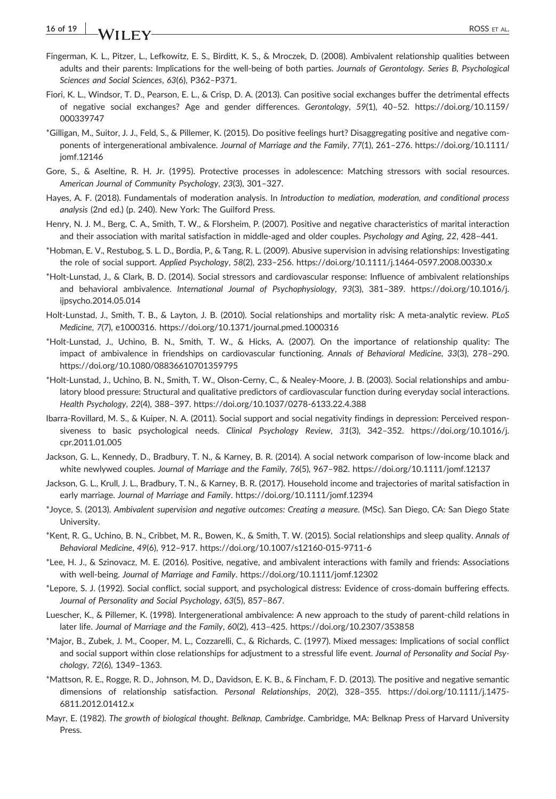- Fingerman, K. L., Pitzer, L., Lefkowitz, E. S., Birditt, K. S., & Mroczek, D. (2008). Ambivalent relationship qualities between adults and their parents: Implications for the well‐being of both parties. *Journals of Gerontology. Series B, Psychological Sciences and Social Sciences*, *63*(6), P362–P371.
- Fiori, K. L., Windsor, T. D., Pearson, E. L., & Crisp, D. A. (2013). Can positive social exchanges buffer the detrimental effects of negative social exchanges? Age and gender differences. *Gerontology*, *59*(1), 40–52. [https://doi.org/10.1159/](https://doi.org/10.1159/000339747) [000339747](https://doi.org/10.1159/000339747)
- \*Gilligan, M., Suitor, J. J., Feld, S., & Pillemer, K. (2015). Do positive feelings hurt? Disaggregating positive and negative components of intergenerational ambivalence. *Journal of Marriage and the Family*, *77*(1), 261–276. [https://doi.org/10.1111/](https://doi.org/10.1111/jomf.12146) [jomf.12146](https://doi.org/10.1111/jomf.12146)
- Gore, S., & Aseltine, R. H. Jr. (1995). Protective processes in adolescence: Matching stressors with social resources. *American Journal of Community Psychology*, *23*(3), 301–327.
- Hayes, A. F. (2018). Fundamentals of moderation analysis. In *Introduction to mediation, moderation, and conditional process analysis* (2nd ed.) (p. 240). New York: The Guilford Press.
- Henry, N. J. M., Berg, C. A., Smith, T. W., & Florsheim, P. (2007). Positive and negative characteristics of marital interaction and their association with marital satisfaction in middle‐aged and older couples. *Psychology and Aging*, *22*, 428–441.
- \*Hobman, E. V., Restubog, S. L. D., Bordia, P., & Tang, R. L. (2009). Abusive supervision in advising relationships: Investigating the role of social support. *Applied Psychology*, *58*(2), 233–256. [https://doi.org/10.1111/j.1464](https://doi.org/10.1111/j.1464-0597.2008.00330.x)‐0597.2008.00330.x
- \*Holt‐Lunstad, J., & Clark, B. D. (2014). Social stressors and cardiovascular response: Influence of ambivalent relationships and behavioral ambivalence. *International Journal of Psychophysiology*, *93*(3), 381–389. [https://doi.org/10.1016/j.](https://doi.org/10.1016/j.ijpsycho.2014.05.014) [ijpsycho.2014.05.014](https://doi.org/10.1016/j.ijpsycho.2014.05.014)
- Holt‐Lunstad, J., Smith, T. B., & Layton, J. B. (2010). Social relationships and mortality risk: A meta‐analytic review. *PLoS Medicine*, *7*(7), e1000316.<https://doi.org/10.1371/journal.pmed.1000316>
- \*Holt‐Lunstad, J., Uchino, B. N., Smith, T. W., & Hicks, A. (2007). On the importance of relationship quality: The impact of ambivalence in friendships on cardiovascular functioning. *Annals of Behavioral Medicine*, *33*(3), 278–290. <https://doi.org/10.1080/08836610701359795>
- \*Holt‐Lunstad, J., Uchino, B. N., Smith, T. W., Olson‐Cerny, C., & Nealey‐Moore, J. B. (2003). Social relationships and ambulatory blood pressure: Structural and qualitative predictors of cardiovascular function during everyday social interactions. *Health Psychology*, *22*(4), 388–397. [https://doi.org/10.1037/0278](https://doi.org/10.1037/0278-6133.22.4.388)‐6133.22.4.388
- Ibarra‐Rovillard, M. S., & Kuiper, N. A. (2011). Social support and social negativity findings in depression: Perceived responsiveness to basic psychological needs. *Clinical Psychology Review*, *31*(3), 342–352. [https://doi.org/10.1016/j.](https://doi.org/10.1016/j.cpr.2011.01.005) [cpr.2011.01.005](https://doi.org/10.1016/j.cpr.2011.01.005)
- Jackson, G. L., Kennedy, D., Bradbury, T. N., & Karney, B. R. (2014). A social network comparison of low‐income black and white newlywed couples. *Journal of Marriage and the Family*, *76*(5), 967–982.<https://doi.org/10.1111/jomf.12137>
- Jackson, G. L., Krull, J. L., Bradbury, T. N., & Karney, B. R. (2017). Household income and trajectories of marital satisfaction in early marriage. *Journal of Marriage and Family*.<https://doi.org/10.1111/jomf.12394>
- \*Joyce, S. (2013). *Ambivalent supervision and negative outcomes: Creating a measure*. (MSc). San Diego, CA: San Diego State University.
- \*Kent, R. G., Uchino, B. N., Cribbet, M. R., Bowen, K., & Smith, T. W. (2015). Social relationships and sleep quality. *Annals of Behavioral Medicine*, *49*(6), 912–917. [https://doi.org/10.1007/s12160](https://doi.org/10.1007/s12160-015-9711-6)‐015‐9711‐6
- \*Lee, H. J., & Szinovacz, M. E. (2016). Positive, negative, and ambivalent interactions with family and friends: Associations with well‐being. *Journal of Marriage and Family*.<https://doi.org/10.1111/jomf.12302>
- \*Lepore, S. J. (1992). Social conflict, social support, and psychological distress: Evidence of cross‐domain buffering effects. *Journal of Personality and Social Psychology*, *63*(5), 857–867.
- Luescher, K., & Pillemer, K. (1998). Intergenerational ambivalence: A new approach to the study of parent‐child relations in later life. *Journal of Marriage and the Family*, *60*(2), 413–425.<https://doi.org/10.2307/353858>
- \*Major, B., Zubek, J. M., Cooper, M. L., Cozzarelli, C., & Richards, C. (1997). Mixed messages: Implications of social conflict and social support within close relationships for adjustment to a stressful life event. *Journal of Personality and Social Psychology*, *72*(6), 1349–1363.
- \*Mattson, R. E., Rogge, R. D., Johnson, M. D., Davidson, E. K. B., & Fincham, F. D. (2013). The positive and negative semantic dimensions of relationship satisfaction. *Personal Relationships*, *20*(2), 328–355. [https://doi.org/10.1111/j.1475](https://doi.org/10.1111/j.1475-6811.2012.01412.x)‐ [6811.2012.01412.x](https://doi.org/10.1111/j.1475-6811.2012.01412.x)
- Mayr, E. (1982). *The growth of biological thought. Belknap, Cambridge*. Cambridge, MA: Belknap Press of Harvard University Press.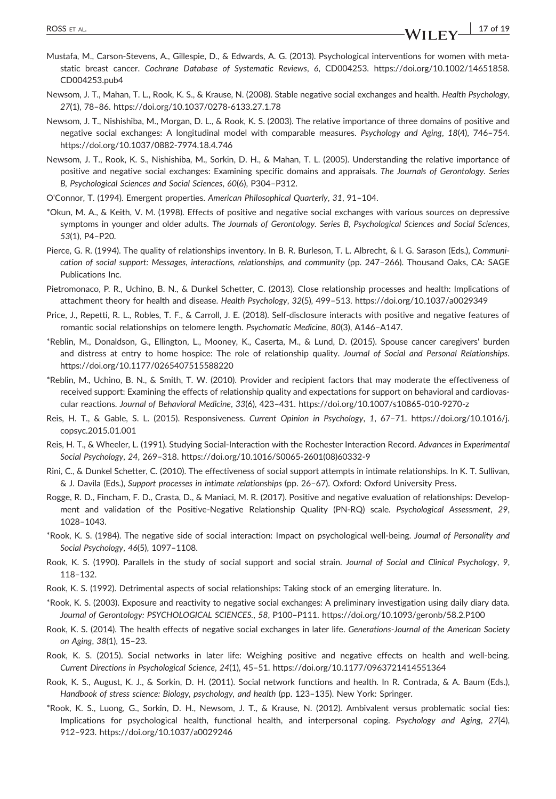- Mustafa, M., Carson‐Stevens, A., Gillespie, D., & Edwards, A. G. (2013). Psychological interventions for women with metastatic breast cancer. *Cochrane Database of Systematic Reviews*, *6*, CD004253. [https://doi.org/10.1002/14651858.](https://doi.org/10.1002/14651858.CD004253.pub4) [CD004253.pub4](https://doi.org/10.1002/14651858.CD004253.pub4)
- Newsom, J. T., Mahan, T. L., Rook, K. S., & Krause, N. (2008). Stable negative social exchanges and health. *Health Psychology*, *27*(1), 78–86. [https://doi.org/10.1037/0278](https://doi.org/10.1037/0278-6133.27.1.78)‐6133.27.1.78
- Newsom, J. T., Nishishiba, M., Morgan, D. L., & Rook, K. S. (2003). The relative importance of three domains of positive and negative social exchanges: A longitudinal model with comparable measures. *Psychology and Aging*, *18*(4), 746–754. [https://doi.org/10.1037/0882](https://doi.org/10.1037/0882-7974.18.4.746)‐7974.18.4.746
- Newsom, J. T., Rook, K. S., Nishishiba, M., Sorkin, D. H., & Mahan, T. L. (2005). Understanding the relative importance of positive and negative social exchanges: Examining specific domains and appraisals. *The Journals of Gerontology. Series B, Psychological Sciences and Social Sciences*, *60*(6), P304–P312.
- O'Connor, T. (1994). Emergent properties. *American Philosophical Quarterly*, *31*, 91–104.
- \*Okun, M. A., & Keith, V. M. (1998). Effects of positive and negative social exchanges with various sources on depressive symptoms in younger and older adults. *The Journals of Gerontology. Series B, Psychological Sciences and Social Sciences*, *53*(1), P4–P20.
- Pierce, G. R. (1994). The quality of relationships inventory. In B. R. Burleson, T. L. Albrecht, & I. G. Sarason (Eds.), *Communication of social support: Messages, interactions, relationships, and community* (pp. 247–266). Thousand Oaks, CA: SAGE Publications Inc.
- Pietromonaco, P. R., Uchino, B. N., & Dunkel Schetter, C. (2013). Close relationship processes and health: Implications of attachment theory for health and disease. *Health Psychology*, *32*(5), 499–513.<https://doi.org/10.1037/a0029349>
- Price, J., Repetti, R. L., Robles, T. F., & Carroll, J. E. (2018). Self‐disclosure interacts with positive and negative features of romantic social relationships on telomere length. *Psychomatic Medicine*, *80*(3), A146–A147.
- \*Reblin, M., Donaldson, G., Ellington, L., Mooney, K., Caserta, M., & Lund, D. (2015). Spouse cancer caregivers' burden and distress at entry to home hospice: The role of relationship quality. *Journal of Social and Personal Relationships*. <https://doi.org/10.1177/0265407515588220>
- \*Reblin, M., Uchino, B. N., & Smith, T. W. (2010). Provider and recipient factors that may moderate the effectiveness of received support: Examining the effects of relationship quality and expectations for support on behavioral and cardiovascular reactions. *Journal of Behavioral Medicine*, *33*(6), 423–431. [https://doi.org/10.1007/s10865](https://doi.org/10.1007/s10865-010-9270-z)‐010‐9270‐z
- Reis, H. T., & Gable, S. L. (2015). Responsiveness. *Current Opinion in Psychology*, *1*, 67–71. [https://doi.org/10.1016/j.](https://doi.org/10.1016/j.copsyc.2015.01.001) [copsyc.2015.01.001](https://doi.org/10.1016/j.copsyc.2015.01.001)
- Reis, H. T., & Wheeler, L. (1991). Studying Social‐Interaction with the Rochester Interaction Record. *Advances in Experimental Social Psychology*, *24*, 269–318. [https://doi.org/10.1016/S0065](https://doi.org/10.1016/S0065-2601(08)60332-9)‐2601(08)60332‐9
- Rini, C., & Dunkel Schetter, C. (2010). The effectiveness of social support attempts in intimate relationships. In K. T. Sullivan, & J. Davila (Eds.), *Support processes in intimate relationships* (pp. 26–67). Oxford: Oxford University Press.
- Rogge, R. D., Fincham, F. D., Crasta, D., & Maniaci, M. R. (2017). Positive and negative evaluation of relationships: Development and validation of the Positive‐Negative Relationship Quality (PN‐RQ) scale. *Psychological Assessment*, *29*, 1028–1043.
- \*Rook, K. S. (1984). The negative side of social interaction: Impact on psychological well‐being. *Journal of Personality and Social Psychology*, *46*(5), 1097–1108.
- Rook, K. S. (1990). Parallels in the study of social support and social strain. *Journal of Social and Clinical Psychology*, *9*, 118–132.
- Rook, K. S. (1992). Detrimental aspects of social relationships: Taking stock of an emerging literature. In.
- \*Rook, K. S. (2003). Exposure and reactivity to negative social exchanges: A preliminary investigation using daily diary data. *Journal of Gerontology: PSYCHOLOGICAL SCIENCES.*, *58*, P100–P111.<https://doi.org/10.1093/geronb/58.2.P100>
- Rook, K. S. (2014). The health effects of negative social exchanges in later life. *Generations‐Journal of the American Society on Aging*, *38*(1), 15–23.
- Rook, K. S. (2015). Social networks in later life: Weighing positive and negative effects on health and well‐being. *Current Directions in Psychological Science*, *24*(1), 45–51.<https://doi.org/10.1177/0963721414551364>
- Rook, K. S., August, K. J., & Sorkin, D. H. (2011). Social network functions and health. In R. Contrada, & A. Baum (Eds.), *Handbook of stress science: Biology, psychology, and health* (pp. 123–135). New York: Springer.
- \*Rook, K. S., Luong, G., Sorkin, D. H., Newsom, J. T., & Krause, N. (2012). Ambivalent versus problematic social ties: Implications for psychological health, functional health, and interpersonal coping. *Psychology and Aging*, *27*(4), 912–923.<https://doi.org/10.1037/a0029246>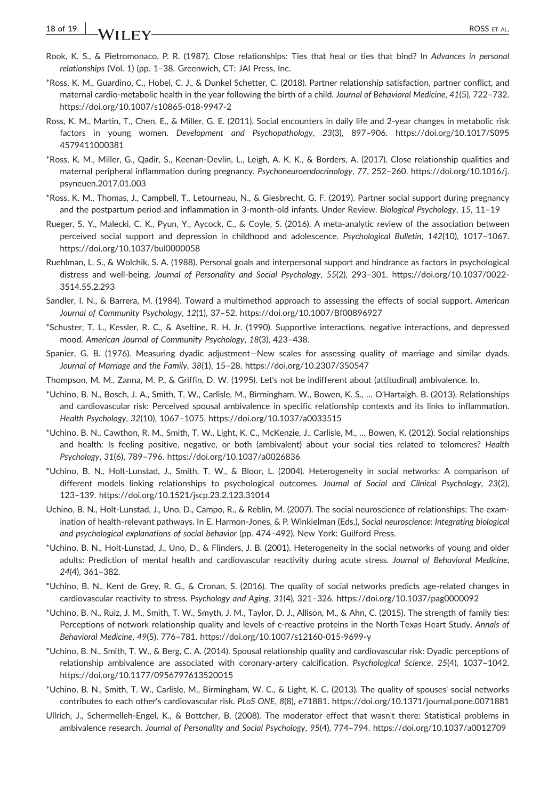# **18 of 19 I ALLER TAL**

- Rook, K. S., & Pietromonaco, P. R. (1987). Close relationships: Ties that heal or ties that bind? In *Advances in personal relationships* (Vol. 1) (pp. 1–38. Greenwich, CT: JAI Press, Inc.
- \*Ross, K. M., Guardino, C., Hobel, C. J., & Dunkel Schetter, C. (2018). Partner relationship satisfaction, partner conflict, and maternal cardio‐metabolic health in the year following the birth of a child. *Journal of Behavioral Medicine*, *41*(5), 722–732. [https://doi.org/10.1007/s10865](https://doi.org/10.1007/s10865-018-9947-2)‐018‐9947‐2
- Ross, K. M., Martin, T., Chen, E., & Miller, G. E. (2011). Social encounters in daily life and 2‐year changes in metabolic risk factors in young women. *Development and Psychopathology*, *23*(3), 897–906. [https://doi.org/10.1017/S095](https://doi.org/10.1017/S0954579411000381) [4579411000381](https://doi.org/10.1017/S0954579411000381)
- \*Ross, K. M., Miller, G., Qadir, S., Keenan‐Devlin, L., Leigh, A. K. K., & Borders, A. (2017). Close relationship qualities and maternal peripheral inflammation during pregnancy. *Psychoneuroendocrinology*, *77*, 252–260. [https://doi.org/10.1016/j.](https://doi.org/10.1016/j.psyneuen.2017.01.003) [psyneuen.2017.01.003](https://doi.org/10.1016/j.psyneuen.2017.01.003)
- \*Ross, K. M., Thomas, J., Campbell, T., Letourneau, N., & Giesbrecht, G. F. (2019). Partner social support during pregnancy and the postpartum period and inflammation in 3‐month‐old infants. Under Review. *Biological Psychology*, *15*, 11–19
- Rueger, S. Y., Malecki, C. K., Pyun, Y., Aycock, C., & Coyle, S. (2016). A meta‐analytic review of the association between perceived social support and depression in childhood and adolescence. *Psychological Bulletin*, *142*(10), 1017–1067. <https://doi.org/10.1037/bul0000058>
- Ruehlman, L. S., & Wolchik, S. A. (1988). Personal goals and interpersonal support and hindrance as factors in psychological distress and well‐being. *Journal of Personality and Social Psychology*, *55*(2), 293–301. [https://doi.org/10.1037/0022](https://doi.org/10.1037/0022-3514.55.2.293)‐ [3514.55.2.293](https://doi.org/10.1037/0022-3514.55.2.293)
- Sandler, I. N., & Barrera, M. (1984). Toward a multimethod approach to assessing the effects of social support. *American Journal of Community Psychology*, *12*(1), 37–52.<https://doi.org/10.1007/Bf00896927>
- \*Schuster, T. L., Kessler, R. C., & Aseltine, R. H. Jr. (1990). Supportive interactions, negative interactions, and depressed mood. *American Journal of Community Psychology*, *18*(3), 423–438.
- Spanier, G. B. (1976). Measuring dyadic adjustment—New scales for assessing quality of marriage and similar dyads. *Journal of Marriage and the Family*, *38*(1), 15–28.<https://doi.org/10.2307/350547>
- Thompson, M. M., Zanna, M. P., & Griffin, D. W. (1995). Let's not be indifferent about (attitudinal) ambivalence. In.
- \*Uchino, B. N., Bosch, J. A., Smith, T. W., Carlisle, M., Birmingham, W., Bowen, K. S., … O'Hartaigh, B. (2013). Relationships and cardiovascular risk: Perceived spousal ambivalence in specific relationship contexts and its links to inflammation. *Health Psychology*, *32*(10), 1067–1075.<https://doi.org/10.1037/a0033515>
- \*Uchino, B. N., Cawthon, R. M., Smith, T. W., Light, K. C., McKenzie, J., Carlisle, M., … Bowen, K. (2012). Social relationships and health: Is feeling positive, negative, or both (ambivalent) about your social ties related to telomeres? *Health Psychology*, *31*(6), 789–796.<https://doi.org/10.1037/a0026836>
- \*Uchino, B. N., Holt‐Lunstad, J., Smith, T. W., & Bloor, L. (2004). Heterogeneity in social networks: A comparison of different models linking relationships to psychological outcomes. *Journal of Social and Clinical Psychology*, *23*(2), 123–139.<https://doi.org/10.1521/jscp.23.2.123.31014>
- Uchino, B. N., Holt‐Lunstad, J., Uno, D., Campo, R., & Reblin, M. (2007). The social neuroscience of relationships: The examination of health‐relevant pathways. In E. Harmon‐Jones, & P. Winkielman (Eds.), *Social neuroscience: Integrating biological and psychological explanations of social behavior* (pp. 474–492). New York: Guilford Press.
- \*Uchino, B. N., Holt‐Lunstad, J., Uno, D., & Flinders, J. B. (2001). Heterogeneity in the social networks of young and older adults: Prediction of mental health and cardiovascular reactivity during acute stress. *Journal of Behavioral Medicine*, *24*(4), 361–382.
- \*Uchino, B. N., Kent de Grey, R. G., & Cronan, S. (2016). The quality of social networks predicts age‐related changes in cardiovascular reactivity to stress. *Psychology and Aging*, *31*(4), 321–326.<https://doi.org/10.1037/pag0000092>
- \*Uchino, B. N., Ruiz, J. M., Smith, T. W., Smyth, J. M., Taylor, D. J., Allison, M., & Ahn, C. (2015). The strength of family ties: Perceptions of network relationship quality and levels of c‐reactive proteins in the North Texas Heart Study. *Annals of Behavioral Medicine*, *49*(5), 776–781. [https://doi.org/10.1007/s12160](https://doi.org/10.1007/s12160-015-9699-y)‐015‐9699‐y
- \*Uchino, B. N., Smith, T. W., & Berg, C. A. (2014). Spousal relationship quality and cardiovascular risk: Dyadic perceptions of relationship ambivalence are associated with coronary‐artery calcification. *Psychological Science*, *25*(4), 1037–1042. <https://doi.org/10.1177/0956797613520015>
- \*Uchino, B. N., Smith, T. W., Carlisle, M., Birmingham, W. C., & Light, K. C. (2013). The quality of spouses' social networks contributes to each other's cardiovascular risk. *PLoS ONE*, *8*(8), e71881.<https://doi.org/10.1371/journal.pone.0071881>
- Ullrich, J., Schermelleh‐Engel, K., & Bottcher, B. (2008). The moderator effect that wasn't there: Statistical problems in ambivalence research. *Journal of Personality and Social Psychology*, *95*(4), 774–794.<https://doi.org/10.1037/a0012709>